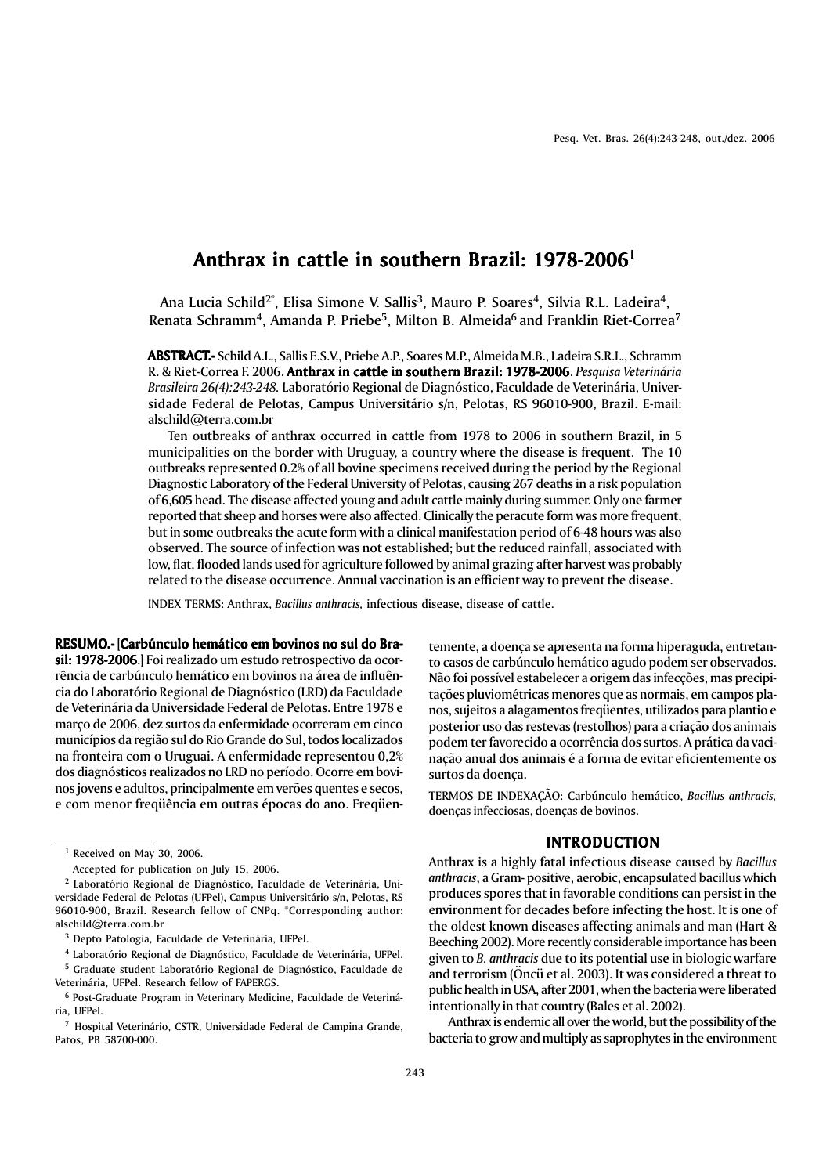# Anthrax in cattle in southern Brazil: 1978-20061

Ana Lucia Schild<sup>2\*</sup>, Elisa Simone V. Sallis<sup>3</sup>, Mauro P. Soares<sup>4</sup>, Silvia R.L. Ladeira<sup>4</sup>, Renata Schramm<sup>4</sup>, Amanda P. Priebe<sup>5</sup>, Milton B. Almeida<sup>6</sup> and Franklin Riet-Correa<sup>7</sup>

ABSTRACT.- Schild A.L., Sallis E.S.V., Priebe A.P., Soares M.P., Almeida M.B., Ladeira S.R.L., Schramm .- R. & Riet-Correa F. 2006. Anthrax in cattle in southern Brazil: 1978-2006. Pesquisa Veterinária *Brasileira 26(4):243-248.* Laboratório Regional de Diagnóstico, Faculdade de Veterinária, Universidade Federal de Pelotas, Campus Universitário s/n, Pelotas, RS 96010-900, Brazil. E-mail: alschild@terra.com.br

Ten outbreaks of anthrax occurred in cattle from 1978 to 2006 in southern Brazil, in 5 municipalities on the border with Uruguay, a country where the disease is frequent. The 10 outbreaks represented 0.2% of all bovine specimens received during the period by the Regional Diagnostic Laboratory of the Federal University of Pelotas, causing 267 deaths in a risk population of 6,605 head. The disease affected young and adult cattle mainly during summer. Only one farmer reported that sheep and horses were also affected. Clinically the peracute form was more frequent, but in some outbreaks the acute form with a clinical manifestation period of 6-48 hours was also observed. The source of infection was not established; but the reduced rainfall, associated with low, flat, flooded lands used for agriculture followed by animal grazing after harvest was probably related to the disease occurrence. Annual vaccination is an efficient way to prevent the disease.

INDEX TERMS: Anthrax, *Bacillus anthracis,* infectious disease, disease of cattle.

RESUMO.- [Carbúnculo hemático em bovinos no sul do Brasil: 1978-2006.] Foi realizado um estudo retrospectivo da ocorrência de carbúnculo hemático em bovinos na área de influência do Laboratório Regional de Diagnóstico (LRD) da Faculdade de Veterinária da Universidade Federal de Pelotas. Entre 1978 e março de 2006, dez surtos da enfermidade ocorreram em cinco municípios da região sul do Rio Grande do Sul, todos localizados na fronteira com o Uruguai. A enfermidade representou 0,2% dos diagnósticos realizados no LRD no período. Ocorre em bovinos jovens e adultos, principalmente em verões quentes e secos, e com menor freqüência em outras épocas do ano. Freqüentemente, a doença se apresenta na forma hiperaguda, entretanto casos de carbúnculo hemático agudo podem ser observados. Não foi possível estabelecer a origem das infecções, mas precipitações pluviométricas menores que as normais, em campos planos, sujeitos a alagamentos freqüentes, utilizados para plantio e posterior uso das restevas (restolhos) para a criação dos animais podem ter favorecido a ocorrência dos surtos. A prática da vacinação anual dos animais é a forma de evitar eficientemente os surtos da doença.

TERMOS DE INDEXAÇÃO: Carbúnculo hemático, *Bacillus anthracis,* doenças infecciosas, doenças de bovinos.

# INTRODUCTION

Anthrax is a highly fatal infectious disease caused by *Bacillus anthracis*, a Gram- positive, aerobic, encapsulated bacillus which produces spores that in favorable conditions can persist in the environment for decades before infecting the host. It is one of the oldest known diseases affecting animals and man (Hart & Beeching 2002). More recently considerable importance has been given to *B. anthracis* due to its potential use in biologic warfare and terrorism (Öncü et al. 2003). It was considered a threat to public health in USA, after 2001, when the bacteria were liberated intentionally in that country (Bales et al. 2002).

Anthrax is endemic all over the world, but the possibility of the bacteria to grow and multiply as saprophytes in the environment

<sup>1</sup> Received on May 30, 2006.

Accepted for publication on July 15, 2006.

<sup>2</sup> Laboratório Regional de Diagnóstico, Faculdade de Veterinária, Universidade Federal de Pelotas (UFPel), Campus Universitário s/n, Pelotas, RS 96010-900, Brazil. Research fellow of CNPq. \*Corresponding author: alschild@terra.com.br

<sup>3</sup> Depto Patologia, Faculdade de Veterinária, UFPel.

<sup>4</sup> Laboratório Regional de Diagnóstico, Faculdade de Veterinária, UFPel. 5 Graduate student Laboratório Regional de Diagnóstico, Faculdade de

Veterinária, UFPel. Research fellow of FAPERGS.

<sup>6</sup> Post-Graduate Program in Veterinary Medicine, Faculdade de Veterinária, UFPel.

<sup>7</sup> Hospital Veterinário, CSTR, Universidade Federal de Campina Grande, Patos, PB 58700-000.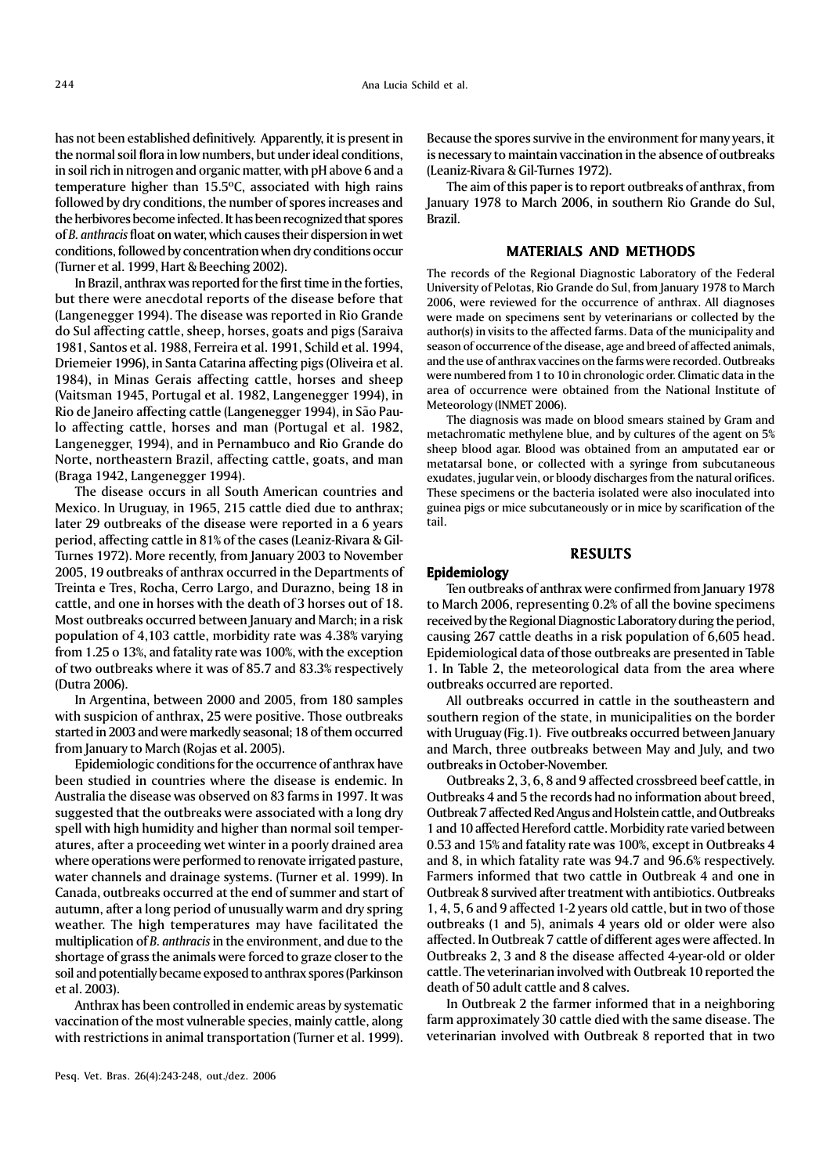has not been established definitively. Apparently, it is present in the normal soil flora in low numbers, but under ideal conditions, in soil rich in nitrogen and organic matter, with pH above 6 and a temperature higher than 15.5ºC, associated with high rains followed by dry conditions, the number of spores increases and the herbivores become infected. It has been recognized that spores of *B. anthracis* float on water, which causes their dispersion in wet conditions, followed by concentration when dry conditions occur (Turner et al. 1999, Hart & Beeching 2002).

In Brazil, anthrax was reported for the first time in the forties, but there were anecdotal reports of the disease before that (Langenegger 1994). The disease was reported in Rio Grande do Sul affecting cattle, sheep, horses, goats and pigs (Saraiva 1981, Santos et al. 1988, Ferreira et al. 1991, Schild et al. 1994, Driemeier 1996), in Santa Catarina affecting pigs (Oliveira et al. 1984), in Minas Gerais affecting cattle, horses and sheep (Vaitsman 1945, Portugal et al. 1982, Langenegger 1994), in Rio de Janeiro affecting cattle (Langenegger 1994), in São Paulo affecting cattle, horses and man (Portugal et al. 1982, Langenegger, 1994), and in Pernambuco and Rio Grande do Norte, northeastern Brazil, affecting cattle, goats, and man (Braga 1942, Langenegger 1994).

The disease occurs in all South American countries and Mexico. In Uruguay, in 1965, 215 cattle died due to anthrax; later 29 outbreaks of the disease were reported in a 6 years period, affecting cattle in 81% of the cases (Leaniz-Rivara & Gil-Turnes 1972). More recently, from January 2003 to November 2005, 19 outbreaks of anthrax occurred in the Departments of Treinta e Tres, Rocha, Cerro Largo, and Durazno, being 18 in cattle, and one in horses with the death of 3 horses out of 18. Most outbreaks occurred between January and March; in a risk population of 4,103 cattle, morbidity rate was 4.38% varying from 1.25 o 13%, and fatality rate was 100%, with the exception of two outbreaks where it was of 85.7 and 83.3% respectively (Dutra 2006).

In Argentina, between 2000 and 2005, from 180 samples with suspicion of anthrax, 25 were positive. Those outbreaks started in 2003 and were markedly seasonal; 18 of them occurred from January to March (Rojas et al. 2005).

Epidemiologic conditions for the occurrence of anthrax have been studied in countries where the disease is endemic. In Australia the disease was observed on 83 farms in 1997. It was suggested that the outbreaks were associated with a long dry spell with high humidity and higher than normal soil temperatures, after a proceeding wet winter in a poorly drained area where operations were performed to renovate irrigated pasture, water channels and drainage systems. (Turner et al. 1999). In Canada, outbreaks occurred at the end of summer and start of autumn, after a long period of unusually warm and dry spring weather. The high temperatures may have facilitated the multiplication of *B. anthracis* in the environment, and due to the shortage of grass the animals were forced to graze closer to the soil and potentially became exposed to anthrax spores (Parkinson et al. 2003).

Anthrax has been controlled in endemic areas by systematic vaccination of the most vulnerable species, mainly cattle, along with restrictions in animal transportation (Turner et al. 1999).

Because the spores survive in the environment for many years, it is necessary to maintain vaccination in the absence of outbreaks (Leaniz-Rivara & Gil-Turnes 1972).

The aim of this paper is to report outbreaks of anthrax, from January 1978 to March 2006, in southern Rio Grande do Sul, Brazil.

# MATERIALS AND METHODS

The records of the Regional Diagnostic Laboratory of the Federal University of Pelotas, Rio Grande do Sul, from January 1978 to March 2006, were reviewed for the occurrence of anthrax. All diagnoses were made on specimens sent by veterinarians or collected by the author(s) in visits to the affected farms. Data of the municipality and season of occurrence of the disease, age and breed of affected animals, and the use of anthrax vaccines on the farms were recorded. Outbreaks were numbered from 1 to 10 in chronologic order. Climatic data in the area of occurrence were obtained from the National Institute of Meteorology (INMET 2006).

The diagnosis was made on blood smears stained by Gram and metachromatic methylene blue, and by cultures of the agent on 5% sheep blood agar. Blood was obtained from an amputated ear or metatarsal bone, or collected with a syringe from subcutaneous exudates, jugular vein, or bloody discharges from the natural orifices. These specimens or the bacteria isolated were also inoculated into guinea pigs or mice subcutaneously or in mice by scarification of the tail.

## RESULTS

# Epidemiology

Ten outbreaks of anthrax were confirmed from January 1978 to March 2006, representing 0.2% of all the bovine specimens received by the Regional Diagnostic Laboratory during the period, causing 267 cattle deaths in a risk population of 6,605 head. Epidemiological data of those outbreaks are presented in Table 1. In Table 2, the meteorological data from the area where outbreaks occurred are reported.

All outbreaks occurred in cattle in the southeastern and southern region of the state, in municipalities on the border with Uruguay (Fig.1). Five outbreaks occurred between January and March, three outbreaks between May and July, and two outbreaks in October-November.

Outbreaks 2, 3, 6, 8 and 9 affected crossbreed beef cattle, in Outbreaks 4 and 5 the records had no information about breed, Outbreak 7 affected Red Angus and Holstein cattle, and Outbreaks 1 and 10 affected Hereford cattle. Morbidity rate varied between 0.53 and 15% and fatality rate was 100%, except in Outbreaks 4 and 8, in which fatality rate was 94.7 and 96.6% respectively. Farmers informed that two cattle in Outbreak 4 and one in Outbreak 8 survived after treatment with antibiotics. Outbreaks 1, 4, 5, 6 and 9 affected 1-2 years old cattle, but in two of those outbreaks (1 and 5), animals 4 years old or older were also affected. In Outbreak 7 cattle of different ages were affected. In Outbreaks 2, 3 and 8 the disease affected 4-year-old or older cattle. The veterinarian involved with Outbreak 10 reported the death of 50 adult cattle and 8 calves.

In Outbreak 2 the farmer informed that in a neighboring farm approximately 30 cattle died with the same disease. The veterinarian involved with Outbreak 8 reported that in two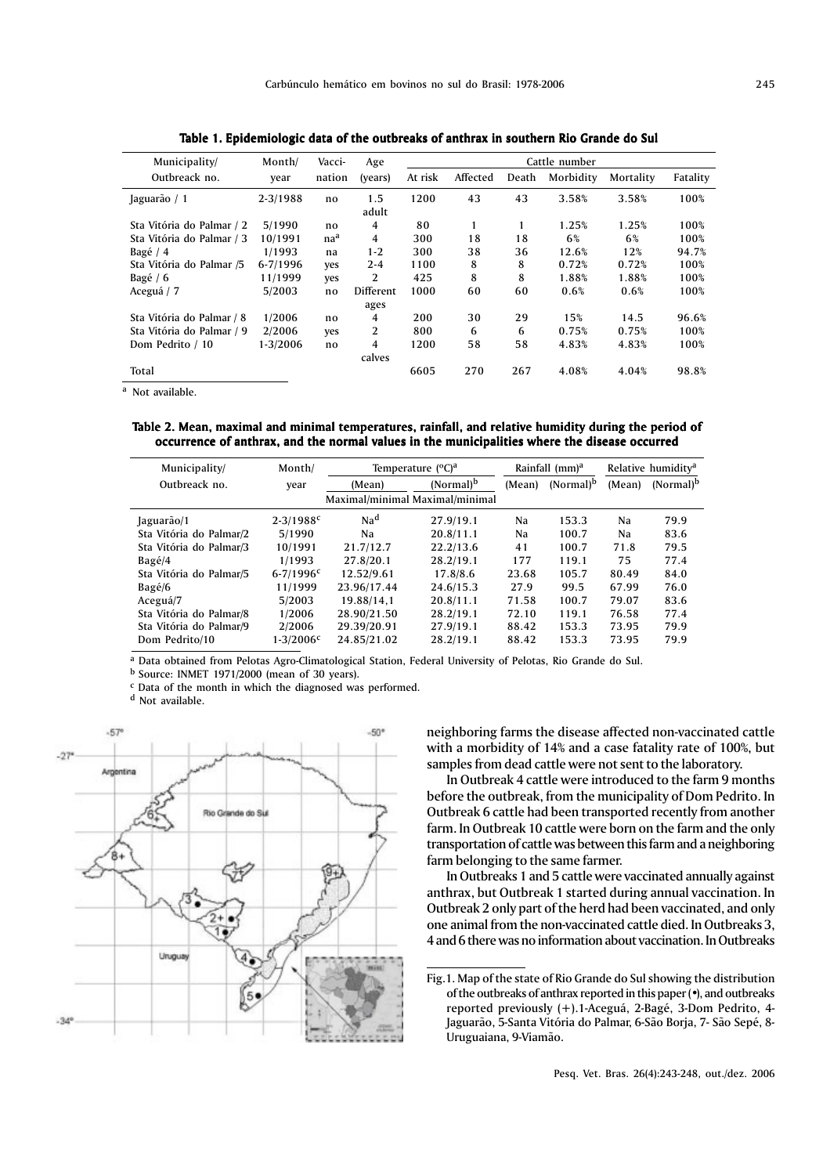| Table 1. Epidemiologic data of the outbreaks of anthrax in southern Rio Grande do Sul |                |                  |                |               |          |       |           |           |          |  |  |  |  |
|---------------------------------------------------------------------------------------|----------------|------------------|----------------|---------------|----------|-------|-----------|-----------|----------|--|--|--|--|
| Municipality/<br>Outbreack no.                                                        | Month/<br>year | Vacci-<br>nation | Age<br>(years) | Cattle number |          |       |           |           |          |  |  |  |  |
|                                                                                       |                |                  |                | At risk       | Affected | Death | Morbidity | Mortality | Fatality |  |  |  |  |
| Jaguarão / 1                                                                          | $2 - 3/1988$   | no               | 1.5<br>adult   | 1200          | 43       | 43    | 3.58%     | 3.58%     | 100%     |  |  |  |  |
| Sta Vitória do Palmar / 2                                                             | 5/1990         | no               | 4              | 80            | 1        | 1     | 1.25%     | 1.25%     | 100%     |  |  |  |  |
| Sta Vitória do Palmar / 3                                                             | 10/1991        | naª              | 4              | 300           | 18       | 18    | 6%        | 6%        | 100%     |  |  |  |  |
| Bagé / 4                                                                              | 1/1993         | na               | $1 - 2$        | 300           | 38       | 36    | 12.6%     | 12%       | 94.7%    |  |  |  |  |
| Sta Vitória do Palmar /5                                                              | $6 - 7/1996$   | yes              | $2 - 4$        | 1100          | 8        | 8     | 0.72%     | 0.72%     | 100%     |  |  |  |  |
| Bagé / 6                                                                              | 11/1999        | yes              | 2              | 425           | 8        | 8     | 1.88%     | 1.88%     | 100%     |  |  |  |  |
| Aceguá / 7                                                                            | 5/2003         | no               | Different      | 1000          | 60       | 60    | 0.6%      | 0.6%      | 100%     |  |  |  |  |
|                                                                                       |                |                  | ages           |               |          |       |           |           |          |  |  |  |  |
| Sta Vitória do Palmar / 8                                                             | 1/2006         | no               | 4              | 200           | 30       | 29    | 15%       | 14.5      | 96.6%    |  |  |  |  |
| Sta Vitória do Palmar / 9                                                             | 2/2006         | yes              | 2              | 800           | 6        | 6     | 0.75%     | 0.75%     | 100%     |  |  |  |  |
| Dom Pedrito / 10                                                                      | 1-3/2006       | no               | 4              | 1200          | 58       | 58    | 4.83%     | 4.83%     | 100%     |  |  |  |  |
|                                                                                       |                |                  | calves         |               |          |       |           |           |          |  |  |  |  |
| Total                                                                                 |                |                  |                | 6605          | 270      | 267   | 4.08%     | 4.04%     | 98.8%    |  |  |  |  |

a Not available.

Table 2. Mean, maximal and minimal temperatures, rainfall, and relative humidity during the period of occurrence of anthrax, and the normal values in the municipalities where the disease occurred

| Municipality/           | Month/                          | Temperature (°C) <sup>a</sup> | Rainfall (mm) <sup>a</sup> |        | Relative humidity <sup>a</sup> |        |                       |
|-------------------------|---------------------------------|-------------------------------|----------------------------|--------|--------------------------------|--------|-----------------------|
| Outbreack no.<br>year   |                                 | (Mean)                        | $(Normal)^b$               | (Mean) | $(Normal)^b$                   | (Mean) | (Normal) <sup>b</sup> |
|                         | Maximal/minimal Maximal/minimal |                               |                            |        |                                |        |                       |
| Jaguarão/1              | $2 - 3/1988$ <sup>c</sup>       | Na <sup>d</sup>               | 27.9/19.1                  | Na     | 153.3                          | Na     | 79.9                  |
| Sta Vitória do Palmar/2 | 5/1990                          | Na                            | 20.8/11.1                  | Na     | 100.7                          | Na     | 83.6                  |
| Sta Vitória do Palmar/3 | 10/1991                         | 21.7/12.7                     | 22.2/13.6                  | 41     | 100.7                          | 71.8   | 79.5                  |
| Bagé/4                  | 1/1993                          | 27.8/20.1                     | 28.2/19.1                  | 177    | 119.1                          | 75     | 77.4                  |
| Sta Vitória do Palmar/5 | $6 - 7/1996$ <sup>c</sup>       | 12.52/9.61                    | 17.8/8.6                   | 23.68  | 105.7                          | 80.49  | 84.0                  |
| Bagé/6                  | 11/1999                         | 23.96/17.44                   | 24.6/15.3                  | 27.9   | 99.5                           | 67.99  | 76.0                  |
| Aceguá/7                | 5/2003                          | 19.88/14.1                    | 20.8/11.1                  | 71.58  | 100.7                          | 79.07  | 83.6                  |
| Sta Vitória do Palmar/8 | 1/2006                          | 28.90/21.50                   | 28.2/19.1                  | 72.10  | 119.1                          | 76.58  | 77.4                  |
| Sta Vitória do Palmar/9 | 2/2006                          | 29.39/20.91                   | 27.9/19.1                  | 88.42  | 153.3                          | 73.95  | 79.9                  |
| Dom Pedrito/10          | $1 - 3/2006c$                   | 24.85/21.02                   | 28.2/19.1                  | 88.42  | 153.3                          | 73.95  | 79.9                  |
|                         |                                 |                               |                            |        |                                |        |                       |

a Data obtained from Pelotas Agro-Climatological Station, Federal University of Pelotas, Rio Grande do Sul.

 $<sup>b</sup>$  Source: INMET 1971/2000 (mean of 30 years).</sup>

c Data of the month in which the diagnosed was performed.

d Not available.



neighboring farms the disease affected non-vaccinated cattle with a morbidity of 14% and a case fatality rate of 100%, but samples from dead cattle were not sent to the laboratory.

In Outbreak 4 cattle were introduced to the farm 9 months before the outbreak, from the municipality of Dom Pedrito. In Outbreak 6 cattle had been transported recently from another farm. In Outbreak 10 cattle were born on the farm and the only transportation of cattle was between this farm and a neighboring farm belonging to the same farmer.

In Outbreaks 1 and 5 cattle were vaccinated annually against anthrax, but Outbreak 1 started during annual vaccination. In Outbreak 2 only part of the herd had been vaccinated, and only one animal from the non-vaccinated cattle died. In Outbreaks 3, 4 and 6 there was no information about vaccination. In Outbreaks

Fig.1. Map of the state of Rio Grande do Sul showing the distribution of the outbreaks of anthrax reported in this paper (•), and outbreaks reported previously (+).1-Aceguá, 2-Bagé, 3-Dom Pedrito, 4- Jaguarão, 5-Santa Vitória do Palmar, 6-São Borja, 7- São Sepé, 8- Uruguaiana, 9-Viamão.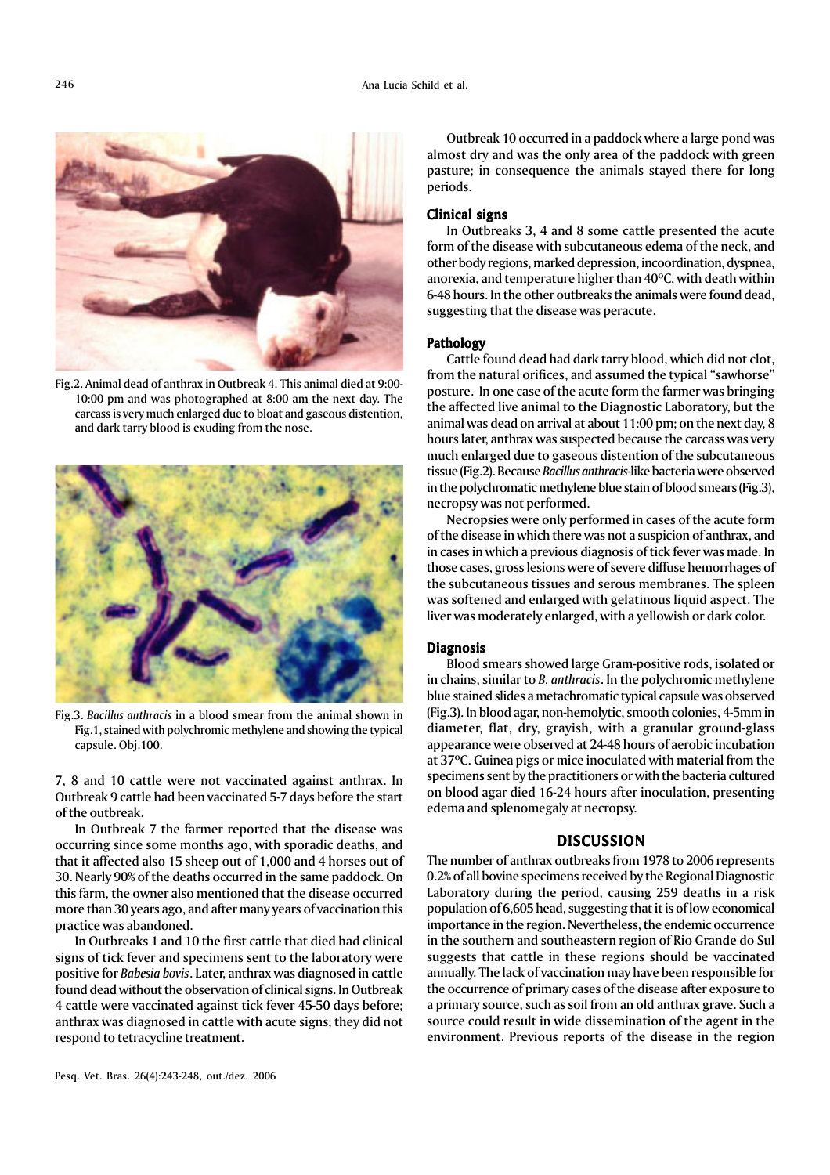

Fig.2. Animal dead of anthrax in Outbreak 4. This animal died at 9:00- 10:00 pm and was photographed at 8:00 am the next day. The carcass is very much enlarged due to bloat and gaseous distention, and dark tarry blood is exuding from the nose.



Fig.3. *Bacillus anthracis* in a blood smear from the animal shown in Fig.1, stained with polychromic methylene and showing the typical capsule. Obj.100.

7, 8 and 10 cattle were not vaccinated against anthrax. In Outbreak 9 cattle had been vaccinated 5-7 days before the start of the outbreak.

In Outbreak 7 the farmer reported that the disease was occurring since some months ago, with sporadic deaths, and that it affected also 15 sheep out of 1,000 and 4 horses out of 30. Nearly 90% of the deaths occurred in the same paddock. On this farm, the owner also mentioned that the disease occurred more than 30 years ago, and after many years of vaccination this practice was abandoned.

In Outbreaks 1 and 10 the first cattle that died had clinical signs of tick fever and specimens sent to the laboratory were positive for *Babesia bovis*. Later, anthrax was diagnosed in cattle found dead without the observation of clinical signs. In Outbreak 4 cattle were vaccinated against tick fever 45-50 days before; anthrax was diagnosed in cattle with acute signs; they did not respond to tetracycline treatment.

Outbreak 10 occurred in a paddock where a large pond was almost dry and was the only area of the paddock with green pasture; in consequence the animals stayed there for long periods.

#### Clinical signs

In Outbreaks 3, 4 and 8 some cattle presented the acute form of the disease with subcutaneous edema of the neck, and other body regions, marked depression, incoordination, dyspnea, anorexia, and temperature higher than 40ºC, with death within 6-48 hours. In the other outbreaks the animals were found dead, suggesting that the disease was peracute.

#### Pathology

Cattle found dead had dark tarry blood, which did not clot, from the natural orifices, and assumed the typical "sawhorse" posture. In one case of the acute form the farmer was bringing the affected live animal to the Diagnostic Laboratory, but the animal was dead on arrival at about 11:00 pm; on the next day, 8 hours later, anthrax was suspected because the carcass was very much enlarged due to gaseous distention of the subcutaneous tissue (Fig.2). Because *Bacillus anthracis*-like bacteria were observed in the polychromatic methylene blue stain of blood smears (Fig.3), necropsy was not performed.

Necropsies were only performed in cases of the acute form of the disease in which there was not a suspicion of anthrax, and in cases in which a previous diagnosis of tick fever was made. In those cases, gross lesions were of severe diffuse hemorrhages of the subcutaneous tissues and serous membranes. The spleen was softened and enlarged with gelatinous liquid aspect. The liver was moderately enlarged, with a yellowish or dark color.

## Diagnosis

Blood smears showed large Gram-positive rods, isolated or in chains, similar to *B. anthracis*. In the polychromic methylene blue stained slides a metachromatic typical capsule was observed (Fig.3). In blood agar, non-hemolytic, smooth colonies, 4-5mm in diameter, flat, dry, grayish, with a granular ground-glass appearance were observed at 24-48 hours of aerobic incubation at 37ºC. Guinea pigs or mice inoculated with material from the specimens sent by the practitioners or with the bacteria cultured on blood agar died 16-24 hours after inoculation, presenting edema and splenomegaly at necropsy.

#### DISCUSSION

The number of anthrax outbreaks from 1978 to 2006 represents 0.2% of all bovine specimens received by the Regional Diagnostic Laboratory during the period, causing 259 deaths in a risk population of 6,605 head, suggesting that it is of low economical importance in the region. Nevertheless, the endemic occurrence in the southern and southeastern region of Rio Grande do Sul suggests that cattle in these regions should be vaccinated annually. The lack of vaccination may have been responsible for the occurrence of primary cases of the disease after exposure to a primary source, such as soil from an old anthrax grave. Such a source could result in wide dissemination of the agent in the environment. Previous reports of the disease in the region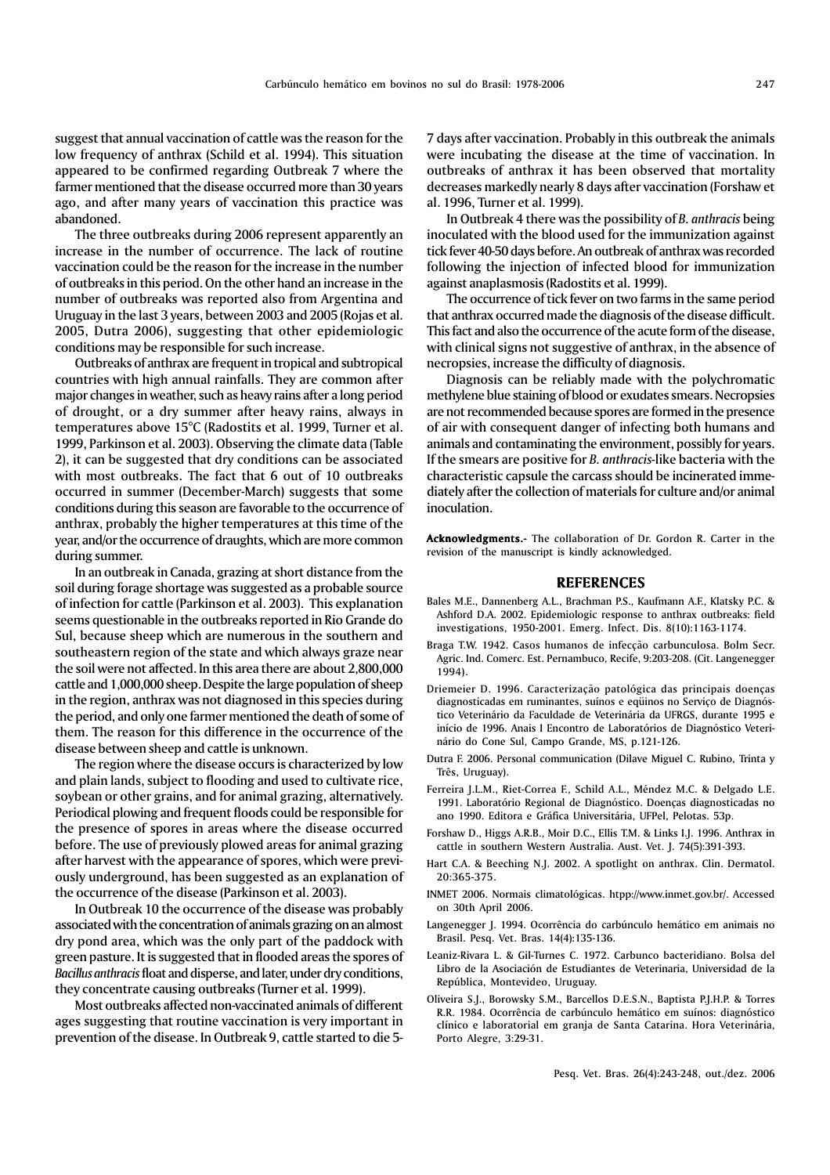- 
- Langenegger J. 1994. Ocorrência do carbúnculo hemático em animais no Brasil. Pesq. Vet. Bras. 14(4):135-136.
- Libro de la Asociación de Estudiantes de Veterinaria, Universidad de la República, Montevideo, Uruguay.
- Oliveira S.J., Borowsky S.M., Barcellos D.E.S.N., Baptista P.J.H.P. & Torres R.R. 1984. Ocorrência de carbúnculo hemático em suínos: diagnóstico clínico e laboratorial em granja de Santa Catarina. Hora Veterinária, Porto Alegre, 3:29-31.

Diagnosis can be reliably made with the polychromatic

methylene blue staining of blood or exudates smears. Necropsies are not recommended because spores are formed in the presence of air with consequent danger of infecting both humans and animals and contaminating the environment, possibly for years. If the smears are positive for *B. anthracis-*like bacteria with the characteristic capsule the carcass should be incinerated immediately after the collection of materials for culture and/or animal inoculation.

Acknowledgments.- The collaboration of Dr. Gordon R. Carter in the revision of the manuscript is kindly acknowledged.

#### REFERENCES

- Bales M.E., Dannenberg A.L., Brachman P.S., Kaufmann A.F., Klatsky P.C. & Ashford D.A. 2002. Epidemiologic response to anthrax outbreaks: field investigations, 1950-2001. Emerg. Infect. Dis. 8(10):1163-1174.
- Braga T.W. 1942. Casos humanos de infecção carbunculosa. Bolm Secr. Agric. Ind. Comerc. Est. Pernambuco, Recife, 9:203-208. (Cit. Langenegger 1994).
- Driemeier D. 1996. Caracterização patológica das principais doenças diagnosticadas em ruminantes, suínos e eqüinos no Serviço de Diagnóstico Veterinário da Faculdade de Veterinária da UFRGS, durante 1995 e início de 1996. Anais I Encontro de Laboratórios de Diagnóstico Veterinário do Cone Sul, Campo Grande, MS, p.121-126.
- Dutra F. 2006. Personal communication (Dilave Miguel C. Rubino, Trinta y Três, Uruguay).
- Ferreira J.L.M., Riet-Correa F., Schild A.L., Méndez M.C. & Delgado L.E. 1991. Laboratório Regional de Diagnóstico. Doenças diagnosticadas no ano 1990. Editora e Gráfica Universitária, UFPel, Pelotas. 53p.
- Forshaw D., Higgs A.R.B., Moir D.C., Ellis T.M. & Links I.J. 1996. Anthrax in cattle in southern Western Australia. Aust. Vet. J. 74(5):391-393.
- Hart C.A. & Beeching N.J. 2002. A spotlight on anthrax. Clin. Dermatol. 20:365-375.
- INMET 2006. Normais climatológicas. htpp://www.inmet.gov.br/. Accessed on 30th April 2006.
- 

# Leaniz-Rivara L. & Gil-Turnes C. 1972. Carbunco bacteridiano. Bolsa del

Pesq. Vet. Bras. 26(4):243-248, out./dez. 2006

suggest that annual vaccination of cattle was the reason for the low frequency of anthrax (Schild et al. 1994). This situation appeared to be confirmed regarding Outbreak 7 where the farmer mentioned that the disease occurred more than 30 years ago, and after many years of vaccination this practice was

abandoned.

The three outbreaks during 2006 represent apparently an increase in the number of occurrence. The lack of routine vaccination could be the reason for the increase in the number of outbreaks in this period. On the other hand an increase in the number of outbreaks was reported also from Argentina and Uruguay in the last 3 years, between 2003 and 2005 (Rojas et al. 2005, Dutra 2006), suggesting that other epidemiologic conditions may be responsible for such increase.

Outbreaks of anthrax are frequent in tropical and subtropical countries with high annual rainfalls. They are common after major changes in weather, such as heavy rains after a long period of drought, or a dry summer after heavy rains, always in temperatures above 15°C (Radostits et al. 1999, Turner et al. 1999, Parkinson et al. 2003). Observing the climate data (Table 2), it can be suggested that dry conditions can be associated with most outbreaks. The fact that 6 out of 10 outbreaks occurred in summer (December-March) suggests that some conditions during this season are favorable to the occurrence of anthrax, probably the higher temperatures at this time of the year, and/or the occurrence of draughts, which are more common during summer.

In an outbreak in Canada, grazing at short distance from the soil during forage shortage was suggested as a probable source of infection for cattle (Parkinson et al. 2003). This explanation seems questionable in the outbreaks reported in Rio Grande do Sul, because sheep which are numerous in the southern and southeastern region of the state and which always graze near the soil were not affected. In this area there are about 2,800,000 cattle and 1,000,000 sheep. Despite the large population of sheep in the region, anthrax was not diagnosed in this species during the period, and only one farmer mentioned the death of some of them. The reason for this difference in the occurrence of the disease between sheep and cattle is unknown.

The region where the disease occurs is characterized by low and plain lands, subject to flooding and used to cultivate rice, soybean or other grains, and for animal grazing, alternatively. Periodical plowing and frequent floods could be responsible for the presence of spores in areas where the disease occurred before. The use of previously plowed areas for animal grazing after harvest with the appearance of spores, which were previously underground, has been suggested as an explanation of the occurrence of the disease (Parkinson et al. 2003).

In Outbreak 10 the occurrence of the disease was probably associated with the concentration of animals grazing on an almost dry pond area, which was the only part of the paddock with green pasture. It is suggested that in flooded areas the spores of *Bacillus anthracis* float and disperse, and later, under dry conditions, they concentrate causing outbreaks (Turner et al. 1999).

Most outbreaks affected non-vaccinated animals of different ages suggesting that routine vaccination is very important in prevention of the disease. In Outbreak 9, cattle started to die 5-

In Outbreak 4 there was the possibility of *B. anthracis* being inoculated with the blood used for the immunization against tick fever 40-50 days before. An outbreak of anthrax was recorded following the injection of infected blood for immunization against anaplasmosis (Radostits et al. 1999).

The occurrence of tick fever on two farms in the same period that anthrax occurred made the diagnosis of the disease difficult. This fact and also the occurrence of the acute form of the disease, with clinical signs not suggestive of anthrax, in the absence of necropsies, increase the difficulty of diagnosis.